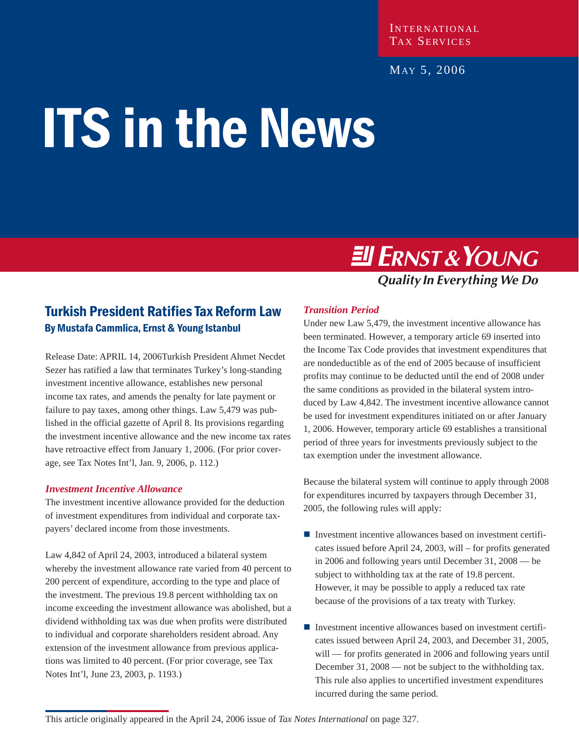#### INTERNATIONAL TAX SERVICES

#### MAY 5, 2006

# ITS in the News

# **Ell ERNST & YOUNG**

# **Quality In Everything We Do**

### Turkish President Ratifies Tax Reform Law By Mustafa Cammlica, Ernst & Young Istanbul

Release Date: APRIL 14, 2006Turkish President Ahmet Necdet Sezer has ratified a law that terminates Turkey's long-standing investment incentive allowance, establishes new personal income tax rates, and amends the penalty for late payment or failure to pay taxes, among other things. Law 5,479 was published in the official gazette of April 8. Its provisions regarding the investment incentive allowance and the new income tax rates have retroactive effect from January 1, 2006. (For prior coverage, see Tax Notes Int'l, Jan. 9, 2006, p. 112.)

#### *Investment Incentive Allowance*

The investment incentive allowance provided for the deduction of investment expenditures from individual and corporate taxpayers' declared income from those investments.

Law 4,842 of April 24, 2003, introduced a bilateral system whereby the investment allowance rate varied from 40 percent to 200 percent of expenditure, according to the type and place of the investment. The previous 19.8 percent withholding tax on income exceeding the investment allowance was abolished, but a dividend withholding tax was due when profits were distributed to individual and corporate shareholders resident abroad. Any extension of the investment allowance from previous applications was limited to 40 percent. (For prior coverage, see Tax Notes Int'l, June 23, 2003, p. 1193.)

#### *Transition Period*

Under new Law 5,479, the investment incentive allowance has been terminated. However, a temporary article 69 inserted into the Income Tax Code provides that investment expenditures that are nondeductible as of the end of 2005 because of insufficient profits may continue to be deducted until the end of 2008 under the same conditions as provided in the bilateral system introduced by Law 4,842. The investment incentive allowance cannot be used for investment expenditures initiated on or after January 1, 2006. However, temporary article 69 establishes a transitional period of three years for investments previously subject to the tax exemption under the investment allowance.

Because the bilateral system will continue to apply through 2008 for expenditures incurred by taxpayers through December 31, 2005, the following rules will apply:

- $\blacksquare$  Investment incentive allowances based on investment certificates issued before April 24, 2003, will – for profits generated in 2006 and following years until December 31, 2008 — be subject to withholding tax at the rate of 19.8 percent. However, it may be possible to apply a reduced tax rate because of the provisions of a tax treaty with Turkey.
- $\blacksquare$  Investment incentive allowances based on investment certificates issued between April 24, 2003, and December 31, 2005, will — for profits generated in 2006 and following years until December 31, 2008 — not be subject to the withholding tax. This rule also applies to uncertified investment expenditures incurred during the same period.

This article originally appeared in the April 24, 2006 issue of *Tax Notes International* on page 327.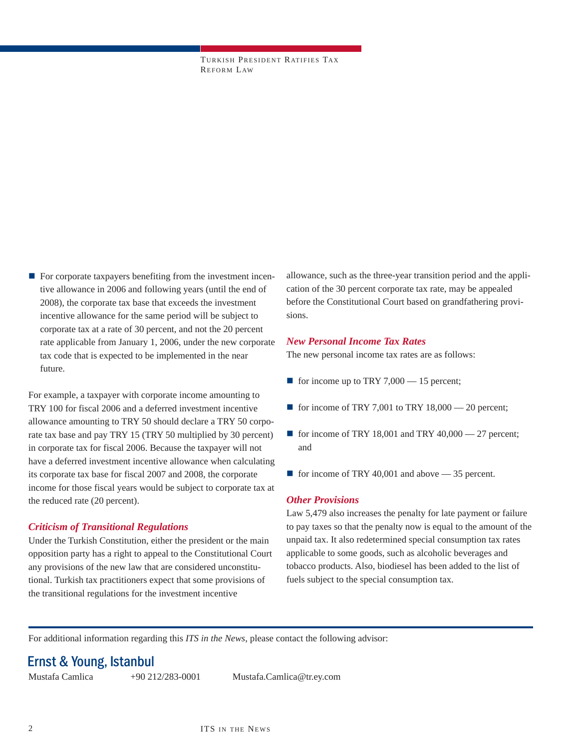TURKISH PRESIDENT RATIFIES TA X REFORM LAW

 $\blacksquare$  For corporate taxpayers benefiting from the investment incentive allowance in 2006 and following years (until the end of 2008), the corporate tax base that exceeds the investment incentive allowance for the same period will be subject to corporate tax at a rate of 30 percent, and not the 20 percent rate applicable from January 1, 2006, under the new corporate tax code that is expected to be implemented in the near future.

For example, a taxpayer with corporate income amounting to TRY 100 for fiscal 2006 and a deferred investment incentive allowance amounting to TRY 50 should declare a TRY 50 corporate tax base and pay TRY 15 (TRY 50 multiplied by 30 percent) in corporate tax for fiscal 2006. Because the taxpayer will not have a deferred investment incentive allowance when calculating its corporate tax base for fiscal 2007 and 2008, the corporate income for those fiscal years would be subject to corporate tax at the reduced rate (20 percent).

#### *Criticism of Transitional Regulations*

Under the Turkish Constitution, either the president or the main opposition party has a right to appeal to the Constitutional Court any provisions of the new law that are considered unconstitutional. Turkish tax practitioners expect that some provisions of the transitional regulations for the investment incentive

allowance, such as the three-year transition period and the application of the 30 percent corporate tax rate, may be appealed before the Constitutional Court based on grandfathering provisions.

#### *New Personal Income Tax Rates*

The new personal income tax rates are as follows:

- for income up to TRY 7,000 15 percent;
- for income of TRY 7,001 to TRY 18,000 20 percent;
- for income of TRY 18,001 and TRY 40,000  $-$  27 percent; and
- $\blacksquare$  for income of TRY 40,001 and above  $-$  35 percent.

#### *Other Provisions*

Law 5,479 also increases the penalty for late payment or failure to pay taxes so that the penalty now is equal to the amount of the unpaid tax. It also redetermined special consumption tax rates applicable to some goods, such as alcoholic beverages and tobacco products. Also, biodiesel has been added to the list of fuels subject to the special consumption tax.

For additional information regarding this *ITS in the News*, please contact the following advisor:

# Ernst & Young, Istanbul

Mustafa Camlica +90 212/283-0001 Mustafa.Camlica@tr.ey.com